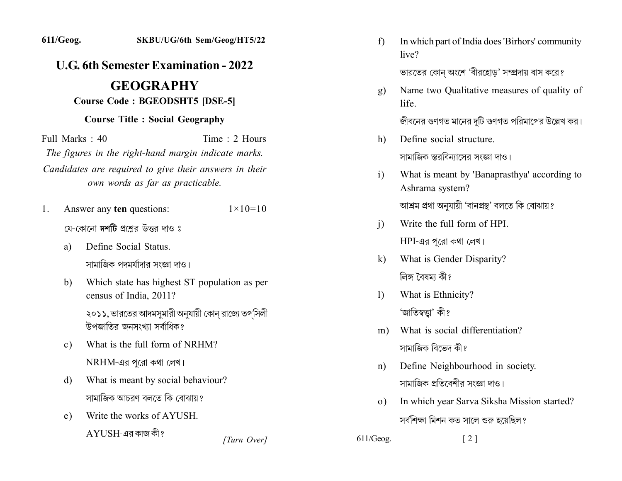## *L.G.* 6th Semester Examination - 2022

## **.2Y.YYY2Y Course Code: BGEODSHT5 [DSE-5]**

## **Course Title : Social Geography**

 $Full Marks: 40$  Time 2 Hours The figures in the right-hand margin indicate marks. Candidates are required to give their answers in their *own words as far as practicable.* 

1. Answer any **ten** questions:  $1 \times 10=10$ 

যে-কোনো দশটি প্রশ্নের উত্তর দাও ঃ

- a) Define Social Status. সামাজিক পদমর্যাদার সংজ্ঞা দাও।
- b) Which state has highest ST population as per census of India. 2011?

২০১১, ভারতের আদমসুমারী অনুযায়ী কোন রাজ্যে তপসিলী উপজাতির জনসংখ্যা সর্বাধিক?

- c) What is the full form of NRHM?  $NRHM$ -এর পুরো কথা লেখ।
- d) What is meant by social behaviour? সামাজিক আচরণ বলতে কি বোঝায়?
- e) Write the works of AYUSH.

 $AYIISH$ -এর কাজ কী?

- f) In which part of India does 'Birhors' community live? ভারতের কোন অংশে 'বীরহোড' সম্প্রদায় বাস করে?
- g) Name two Qualitative measures of quality of life

জীবনের গুণগত মানের দুটি গুণগত পরিমাপের উল্লেখ কর।

- h. Define social structure. সামাজিক স্তরবিন্যাসের সংজ্ঞা দাও।
- $i)$  What is meant by 'Banaprasthya' according to Ashrama system? আশ্ৰম প্ৰথা অনুযায়ী 'বানপ্ৰস্থ' বলতে কি বোঝায়?
- i) Write the full form of HPI.  $HPI$ -এর পূরো কথা লেখ।
- k) What is Gender Disparity? লিঙ্গ বৈষমা কী?
- 1) What is Ethnicity? 'জাতিস্বত্তা' কী?
- m) What is social differentiation? সামাজিক বিভেদ কী?
- n) Define Neighbourhood in society. সামাজিক প্রতিবেশীর সংজ্ঞা দাও।
- o) In which year Sarva Siksha Mission started? সর্বশিক্ষা মিশন কত সালে শুরু হয়েছিল?
- *[2]* [2] *[2]*  $\frac{611}{\text{Geog.}}$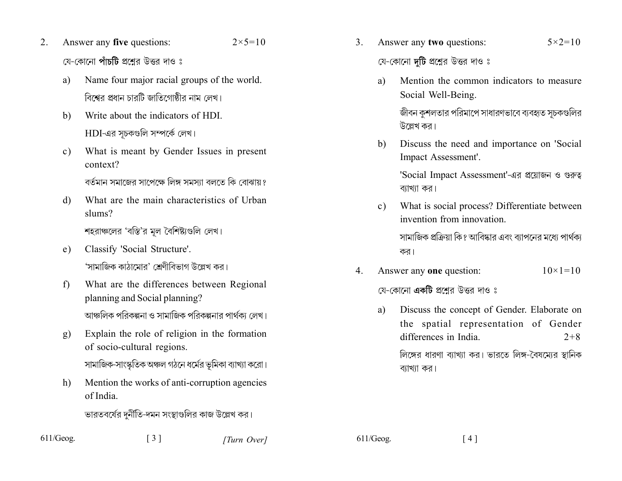- Answer any five questions:  $2.$  $2 \times 5 = 10$ য়ে-কোনো **পাঁচটি** প্রশ্রের উত্তর দাও ঃ
	- Name four major racial groups of the world. a) বিশ্বের প্রধান চারটি জাতিগোষ্ঠীর নাম লেখ।
	- Write about the indicators of HDI. b)  $HDI$ -এর সচকগুলি সম্পর্কে লেখ।
	- What is meant by Gender Issues in present  $\mathbf{c}$ ) context? বর্তমান সমাজের সাপেক্ষে লিঙ্গ সমস্যা বলতে কি বোঝায়?
	- What are the main characteristics of Urban  $\mathbf{d}$ slums?

শহরাঞ্চলের 'বস্তি'র মূল বৈশিষ্ট্যগুলি লেখ।

- Classify 'Social Structure'. e) 'সামাজিক কাঠামোর' শ্রেণীবিভাগ উল্লেখ কর।
- What are the differences between Regional  $f$ planning and Social planning? আঞ্চলিক পবিকল্পনা ও সামাজিক পবিকল্পনাব পার্থকা লেখ।
- Explain the role of religion in the formation g) of socio-cultural regions.

সামাজিক-সাংস্কৃতিক অঞ্চল গঠনে ধর্মের ভূমিকা ব্যাখ্যা করো।

Mention the works of anti-corruption agencies  $h)$ of India

ভারতবর্ষের দুর্নীতি-দমন সংস্থাগুলির কাজ উল্লেখ কর।

Answer any two questions:  $5 \times 2 = 10$  $\mathcal{E}$ 

যে-কোনো **দুটি** প্রশ্নের উত্তর দাও ঃ

Mention the common indicators to measure a) Social Well-Being.

> জীবন কশলতার পরিমাপে সাধারণভাবে ব্যবহৃত সচকগুলির উল্লেখ কর।

Discuss the need and importance on 'Social b) Impact Assessment'.

> 'Social Impact Assessment'-এর প্রয়োজন ও গুরুত্ব ব্যাখ্যা কর।

What is social process? Differentiate between  $c)$ invention from innovation

> সামাজিক প্রক্রিয়া কি? আবিষ্কার এবং ব্যাপনের মধ্যে পার্থক্য কর।

Answer any one question:  $\overline{4}$  $10 \times 1 = 10$ 

যে-কোনো **একটি** প্রশ্নের উত্তর দাও ঃ

Discuss the concept of Gender. Elaborate on a) the spatial representation of Gender differences in India  $2+8$ লিঙ্গের ধারণা ব্যাখ্যা কর। ভারতে লিঙ্গ-বৈষম্যের স্থানিক

ব্যাখ্যা কর।